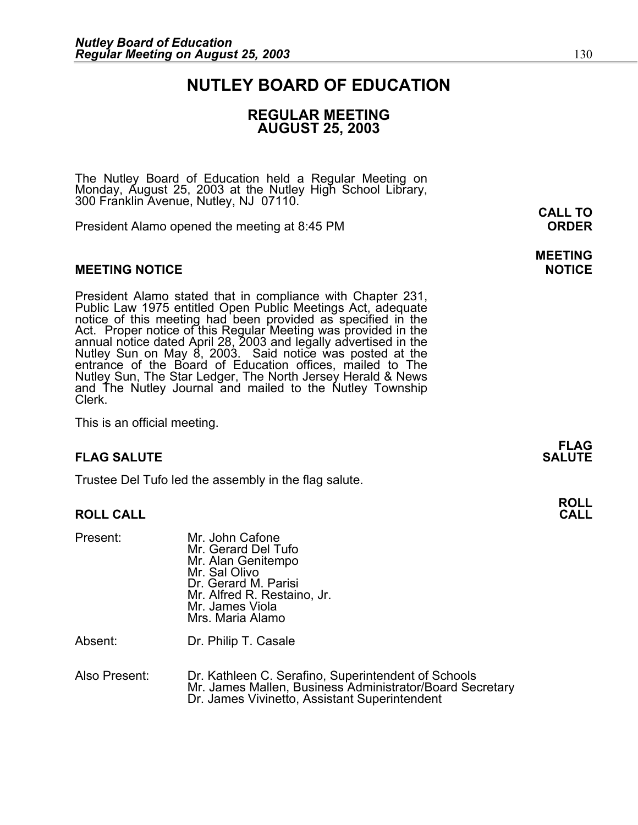### **NUTLEY BOARD OF EDUCATION**

### **REGULAR MEETING AUGUST 25, 2003**

**MEETING** 

The Nutley Board of Education held a Regular Meeting on Monday, August 25, 2003 at the Nutley High School Library, 300 Franklin Avenue, Nutley, NJ 07110.

President Alamo opened the meeting at 8:45 PM **ORDER**

### **MEETING NOTICE NOTICE AND INCLUSION CONTROL**

President Alamo stated that in compliance with Chapter 231,<br>Public Law 1975 entitled Open Public Meetings Act, adequate<br>notice of this meeting had been provided as specified in the<br>Act. Proper notice of this Regular Meetin annual notice dated April 28, 2003 and legally advertised in the<br>Nutley Sun on May 8, 2003. Said notice was posted at the<br>entrance of the Board of Education offices, mailed to The entrance of the Board of Education offices, mailed to The Nutley Sun, The Star Ledger, The North Jersey Herald & News and The Nutley Journal and mailed to the Nutley Township Clerk.

This is an official meeting.

### **FLAG SALUTE SALUTE SALUTE**

Trustee Del Tufo led the assembly in the flag salute.

### **ROLL CALL CALL**

| Present: | Mr. John Cafone<br>Mr. Gerard Del Tufo<br>Mr. Alan Genitempo<br>Mr. Sal Olivo<br>Dr. Gerard M. Parisi<br>Mr. Alfred R. Restaino, Jr.<br>Mr. James Viola<br>Mrs. Maria Alamo |
|----------|-----------------------------------------------------------------------------------------------------------------------------------------------------------------------------|
|          |                                                                                                                                                                             |

Absent: Dr. Philip T. Casale

Also Present: Dr. Kathleen C. Serafino, Superintendent of Schools Mr. James Mallen, Business Administrator/Board Secretary Dr. James Vivinetto, Assistant Superintendent

**FLAG** 

**ROLL**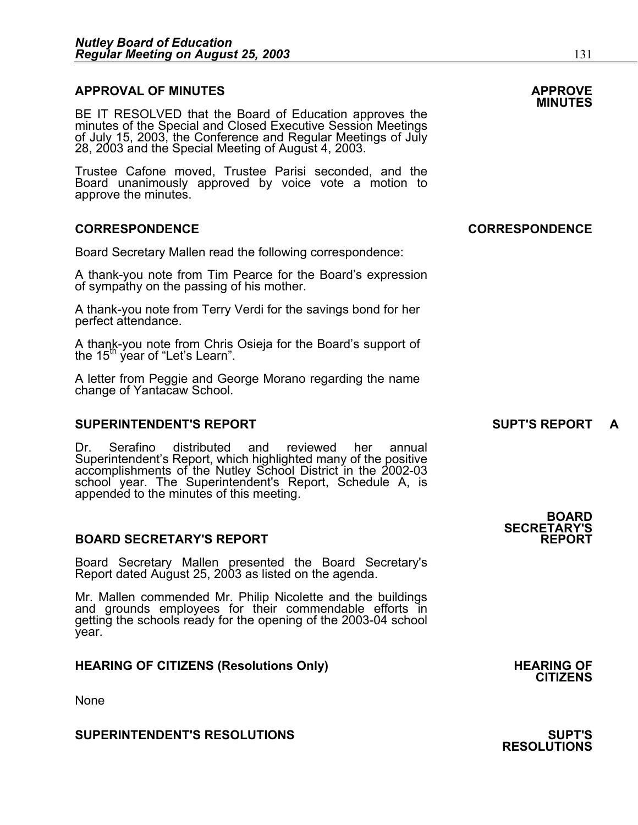### **APPROVAL OF MINUTES APPROVE**

BE IT RESOLVED that the Board of Education approves the minutes of the Special and Closed Executive Session Meetings of July 15, 2003, the Conference and Regular Meetings of July 28, 2003 and the Special Meeting of August

Trustee Cafone moved, Trustee Parisi seconded, and the Board unanimously approved by voice vote a motion to approve the minutes.

### **CORRESPONDENCE CORRESPONDENCE**

Board Secretary Mallen read the following correspondence:

A thank-you note from Tim Pearce for the Board's expression of sympathy on the passing of his mother.

A thank-you note from Terry Verdi for the savings bond for her perfect attendance.

A thank-you note from Chris Osieja for the Board's support of the  $15<sup>th</sup>$  year of "Let's Learn".

A letter from Peggie and George Morano regarding the name change of Yantacaw School.

### **SUPERINTENDENT'S REPORT SUPT'S REPORT A**

Dr. Serafino distributed and reviewed her annual Superintendent's Report, which highlighted many of the positive accomplishments of the Nutley School District in the 2002-03 school year. The Superintendent's Report, Schedule A, is appended to the minutes of this meeting.

### **BOARD SECRETARY'S REPORT**

Board Secretary Mallen presented the Board Secretary's Report dated August 25, 2003 as listed on the agenda.

Mr. Mallen commended Mr. Philip Nicolette and the buildings and grounds employees for their commendable efforts in getting the schools ready for the opening of the 2003-04 school year.

### **HEARING OF CITIZENS (Resolutions Only) THEARING OF STATE AND REARING OF STATE AND REARING OF**

None

**SUPERINTENDENT'S RESOLUTIONS SUPT'S** 

**BOARD SECRETARY'S** 

**CITIZENS** 

**RESOLUTIONS**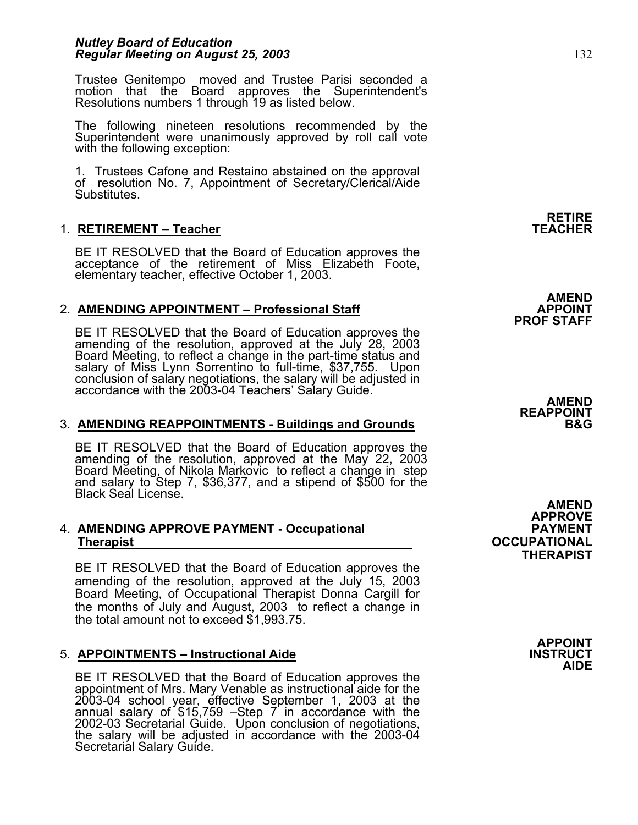Trustee Genitempo moved and Trustee Parisi seconded a motion that the Board approves the Superintendent's Resolutions numbers 1 through 19 as listed below.

The following nineteen resolutions recommended by the Superintendent were unanimously approved by roll call vote with the following exception:

1. Trustees Cafone and Restaino abstained on the approval of resolution No. 7, Appointment of Secretary/Clerical/Aide Substitutes.

### 1. **RETIREMENT – Teacher TEACHER**

BE IT RESOLVED that the Board of Education approves the acceptance of the retirement of Miss Elizabeth Foote, elementary teacher, effective October 1, 2003.

### AMEND<br>2. AMENDING APPOINTMENT – Professional Staff **APPOINT**

BE IT RESOLVED that the Board of Education approves the amending of the resolution, approved at the July 28, 2003<br>Board Meeting, to reflect a change in the part-time status and salary of Miss Lynn Sorrentino to full-time, conclusion of salary negotiations, the salary will be adjusted in accordance with the 2003-04 Teachers' Salary Guide.

### **3. AMENDING REAPPOINTMENTS - Buildings and Grounds**

BE IT RESOLVED that the Board of Education approves the amending of the resolution, approved at the May 22, 2003 Board Meeting, of Nikola Markovic to reflect a change in step and salary to Step 7, \$36,377, and a stipend of

#### 4. **AMENDING APPROVE PAYMENT - Occupational PAYMENT Therapist OCCUPATIONAL**

BE IT RESOLVED that the Board of Education approves the amending of the resolution, approved at the July 15, 2003 Board Meeting, of Occupational Therapist Donna Cargill for the months of July and August, 2003 to reflect a change in the total amount not to exceed \$1,993.75.

### **5. APPOINTMENTS – Instructional Aide**

BE IT RESOLVED that the Board of Education approves the appointment of Mrs. Mary Venable as instructional aide for the 2003-04 school year, effective September 1, 2003 at the<br>annual salary of \$15,759 –Step 7 in accordance with the<br>2002-03 Secretarial Guide. Upon conclusion of negotiations,<br>the salary will be adjusted in accordance with the Secretarial Salary Guide.

**PROF STAFF** 

**AMEND REAPPOINT** 

**AMEND APPROVE THERAPIST** 

> **APPOINT AIDE**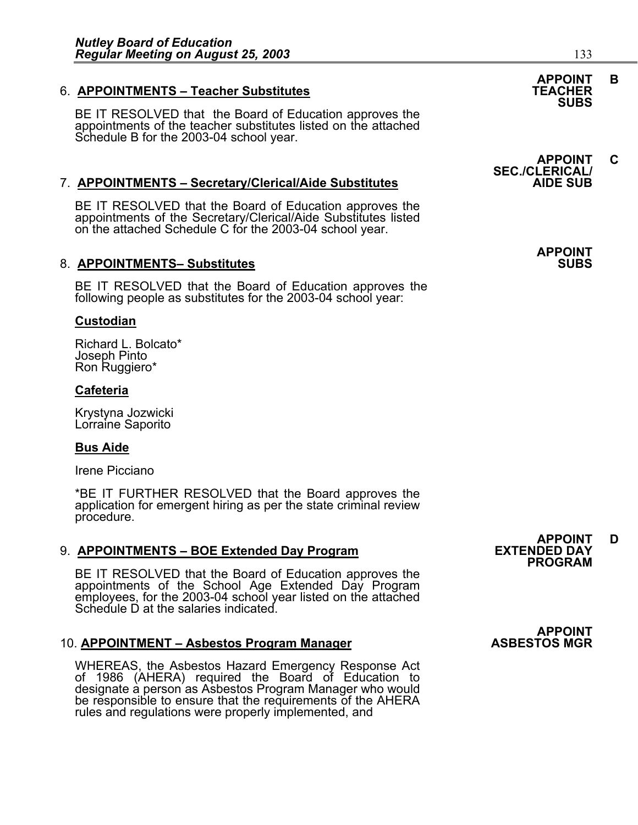### 6. **APPOINTMENTS - Teacher Substitutes**

BE IT RESOLVED that the Board of Education approves the appointments of the teacher substitutes listed on the attached Schedule B for the 2003-04 school year.

### 7. **APPOINTMENTS - Secretary/Clerical/Aide Substitutes**

BE IT RESOLVED that the Board of Education approves the appointments of the Secretary/Clerical/Aide Substitutes listed on the attached Schedule C for the 2003-04 school year.

### 8. **APPOINTMENTS- Substitutes**

BE IT RESOLVED that the Board of Education approves the following people as substitutes for the 2003-04 school year:

### **Custodian**

Richard L. Bolcato\* Joseph Pinto Ron Ruggiero\*

### **Cafeteria**

Krystyna Jozwicki Lorraine Saporito

### **Bus Aide**

Irene Picciano

\*BE IT FURTHER RESOLVED that the Board approves the application for emergent hiring as per the state criminal review procedure.

### 9. **APPOINTMENTS – BOE Extended Day Program**

BE IT RESOLVED that the Board of Education approves the appointments of the School Age Extended Day Program employees, for the 2003-04 school year listed on the attached Schedule D at the salaries indicated.

### 10. **APPOINTMENT – Asbestos Program Manager**

WHEREAS, the Asbestos Hazard Emergency Response Act of 1986 (AHERA) required the Board of Education to designate a person as Asbestos Program Manager who would be responsible to ensure that the requirements of the AHERA rules and regulations were properly implemented, and

**APPOINT D PROGRAM** 

**APPOINT<br>ASBESTOS MGR** 

### **APPOINT B SUBS**

**APPOINT C SEC./CLERICAL/** 

**APPOINT**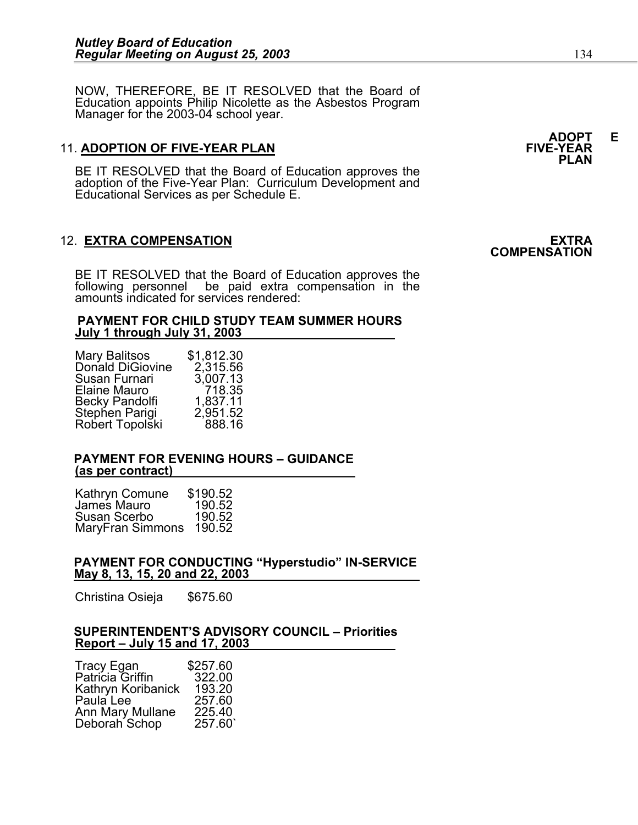NOW, THEREFORE, BE IT RESOLVED that the Board of Education appoints Philip Nicolette as the Asbestos Program Manager for the 2003-04 school year.

### 11. **ADOPTION OF FIVE-YEAR PLAN**

BE IT RESOLVED that the Board of Education approves the adoption of the Five-Year Plan: Curriculum Development and Educational Services as per Schedule E.

### 12. **EXTRA COMPENSATION EXTRA**

BE IT RESOLVED that the Board of Education approves the following personnel be paid extra compensation in the amounts indicated for services rendered:

#### **PAYMENT FOR CHILD STUDY TEAM SUMMER HOURS July 1 through July 31, 2003**

| \$1,812.30<br>2,315.56<br>3,007.13<br>718.35<br>1,837.11<br>2,951.52 |
|----------------------------------------------------------------------|
| 888.16                                                               |
|                                                                      |

### **PAYMENT FOR EVENING HOURS – GUIDANCE (as per contract)**

| Kathryn Comune   | \$190.52 |
|------------------|----------|
| James Mauro      | 190.52   |
| Susan Scerbo     | 190.52   |
| MaryFran Simmons | 190.52   |

## **PAYMENT FOR CONDUCTING "Hyperstudio" IN-SERVICE May 8, 13, 15, 20 and 22, 2003**

Christina Osieja \$675.60

### **SUPERINTENDENT'S ADVISORY COUNCIL – Priorities Report – July 15 and 17, 2003**

| Tracy Egan                 | \$257.60 |
|----------------------------|----------|
| Patricia Griffin           | 322.00   |
| Kathryn Koribanick         | 193.20   |
| Paula Lee                  | 257.60   |
| Ann Mary Mullane           | 225.40   |
| Deborah <sup>'</sup> Schop | 257.60   |

**ADOPT E**<br>FIVE-YEAR

**PLAN** 



**COMPENSATION**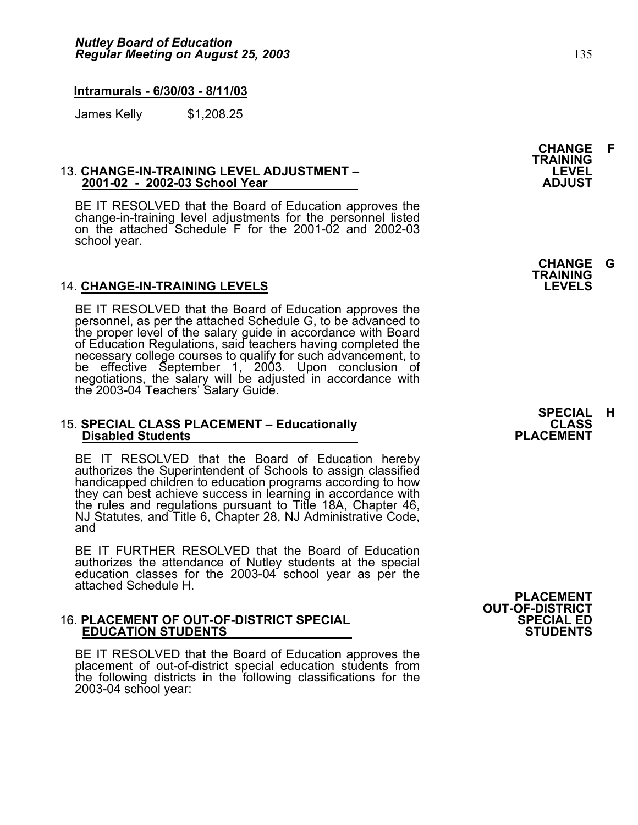#### **Intramurals - 6/30/03 - 8/11/03**

James Kelly \$1,208.25

### 13. **CHANGE-IN-TRAINING LEVEL ADJUSTMENT – LEVEL 2001-02 - 2002-03 School Year ADJUST**

BE IT RESOLVED that the Board of Education approves the change-in-training level adjustments for the personnel listed on the attached Schedule F for the 2001-02 and 2002-03 school year.

#### 14. **CHANGE-IN-TRAINING LEVELS LEVELS**

BE IT RESOLVED that the Board of Education approves the personnel, as per the attached Schedule G, to be advanced to the proper level of the salary guide in accordance with Board of Education Regulations, said teachers having completed the necessary college courses to qualify for such advancement, to<br>be effective September 1, 2003. Upon conclusion of negotiations, the salary will be adjusted in accordance with the 2003-04 Teachers' Salary Guide.

### 15. **SPECIAL CLASS PLACEMENT – Educationally CLASS Disabled Students PLACEMENT**

BE IT RESOLVED that the Board of Education hereby authorizes the Superintendent of Schools to assign classified handicapped children to education programs according to how they can best achieve success in learning in accordance with the rules and regulations pursuant to Title 18A, Chapter 46, NJ Statutes, and Title 6, Chapter 28, NJ Administrative Code, and

BE IT FURTHER RESOLVED that the Board of Education authorizes the attendance of Nutley students at the special education classes for the 2003-04 school year as per the attached Schedule H.

## 16. **PLACEMENT OF OUT-OF-DISTRICT SPECIAL SPECIAL ED EDUCATION STUDENTS STUDENTS**

BE IT RESOLVED that the Board of Education approves the placement of out-of-district special education students from the following districts in the following classifications for the 2003-04 school year:

**CHANGE F TRAINING** 

**CHANGE G TRAINING**

**PLACEMENT OUT-OF-DISTRICT**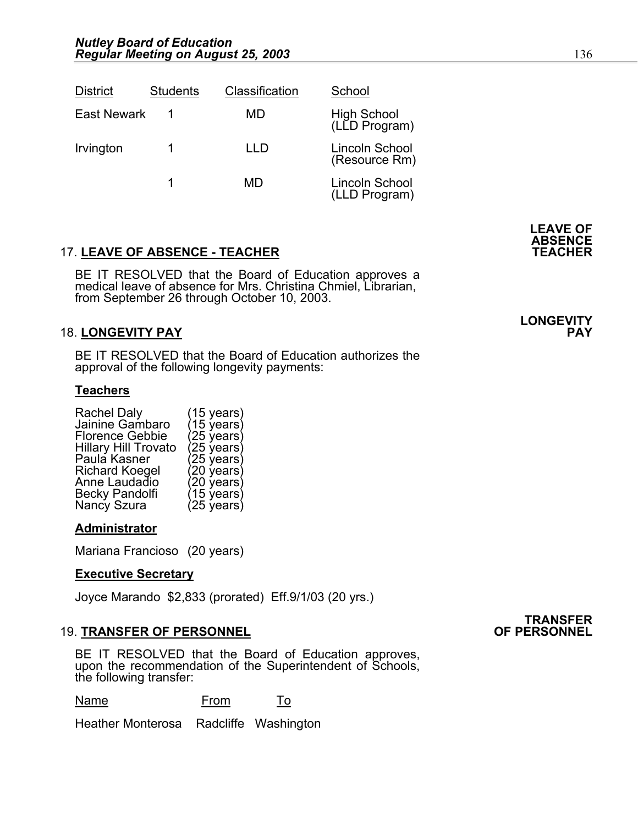| <b>District</b>    | <b>Students</b> | Classification | School                          |
|--------------------|-----------------|----------------|---------------------------------|
| <b>East Newark</b> |                 | MD             | High School<br>(LLD Program)    |
| Irvington          |                 | l I I )        | Lincoln School<br>(Resource Rm) |
|                    |                 | MD             | Lincoln School<br>(LLD Program) |

### 17. **LEAVE OF ABSENCE - TEACHER TEACHER**

 BE IT RESOLVED that the Board of Education approves a medical leave of absence for Mrs. Christina Chmiel, Librarian, from September 26 through October 10, 2003.

### 18. LONGEVITY PAY

BE IT RESOLVED that the Board of Education authorizes the approval of the following longevity payments:

### **Teachers**

| <b>Rachel Daly</b>          | $(15 \text{ years})$  |
|-----------------------------|-----------------------|
| Jainine Gambaro             | $(15 \text{ years})$  |
| <b>Florence Gebbie</b>      | $(25 \,\text{years})$ |
| <b>Hillary Hill Trovato</b> | (25 years)            |
| Paula Kasner                | (25 years)            |
| <b>Richard Koegel</b>       | $(20 \text{ years})$  |
| Anne Laudadio               | (20 years)            |
| <b>Becky Pandolfi</b>       | $(15 \text{ years})$  |
| Nancy Szura                 | (25 years)            |

### **Administrator**

Mariana Francioso (20 years)

### **Executive Secretary**

Joyce Marando \$2,833 (prorated) Eff.9/1/03 (20 yrs.)

### **19. TRANSFER OF PERSONNEL**

BE IT RESOLVED that the Board of Education approves, upon the recommendation of the Superintendent of Schools, the following transfer:

Name From To

Heather Monterosa Radcliffe Washington

## **TRANSFER<br>OF PERSONNEL**

## **LONGEVITY**

**LEAVE OF ABSENCE**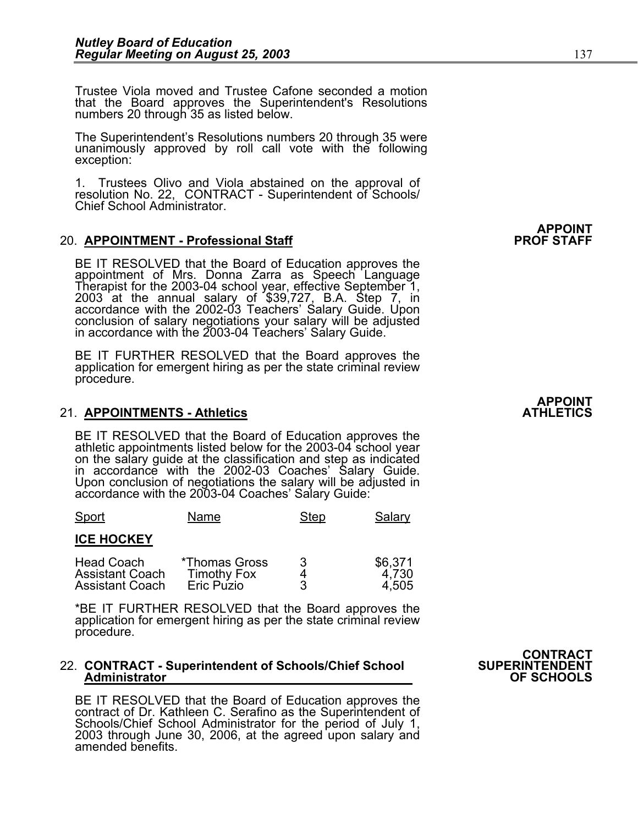Trustee Viola moved and Trustee Cafone seconded a motion that the Board approves the Superintendent's Resolutions numbers 20 through 35 as listed below.

The Superintendent's Resolutions numbers 20 through 35 were unanimously approved by roll call vote with the following exception:

1. Trustees Olivo and Viola abstained on the approval of resolution No. 22, CONTRACT - Superintendent of Schools/ Chief School Administrator.

### 20. APPOINTMENT - Professional Staff

BE IT RESOLVED that the Board of Education approves the<br>appointment of Mrs. Donna Zarra as Speech Language<br>Therapist for the 2003-04 school year, effective September 1,<br>2003 at the annual salary of \$39,727, B.A. Step 7, in conclusion of salary negotiations your salary will be adjusted in accordance with the 2003-04 Teachers' Salary Guide.

BE IT FURTHER RESOLVED that the Board approves the application for emergent hiring as per the state criminal review procedure.

### **21. APPOINTMENTS - Athletics**

BE IT RESOLVED that the Board of Education approves the athletic appointments listed below for the 2003-04 school year on the salary guide at the classification and step as indicated in accordance with the 2002-03 Coaches' Salary Guide. Upon conclusion of negotiations the salary will be adjusted in accordance with the 2003-04 Coaches' Salary Guide:

| Sport                                                                 | Name                                              | Step   | Salary                    |
|-----------------------------------------------------------------------|---------------------------------------------------|--------|---------------------------|
| <b>ICE HOCKEY</b>                                                     |                                                   |        |                           |
| <b>Head Coach</b><br><b>Assistant Coach</b><br><b>Assistant Coach</b> | *Thomas Gross<br><b>Timothy Fox</b><br>Eric Puzio | 3<br>3 | \$6,371<br>4,730<br>4,505 |

\*BE IT FURTHER RESOLVED that the Board approves the application for emergent hiring as per the state criminal review procedure.

### 22. **CONTRACT - Superintendent of Schools/Chief School SUPERINTENDENT Administrator OF SCHOOLS**

BE IT RESOLVED that the Board of Education approves the contract of Dr. Kathleen C. Serafino as the Superintendent of Schools/Chief School Administrator for the period of July 1, 2003 through June 30, 2006, at the agreed u amended benefits.

**CONTRACT<br>SUPERINTENDENT** 

**APPOINT<br>PROF STAFF**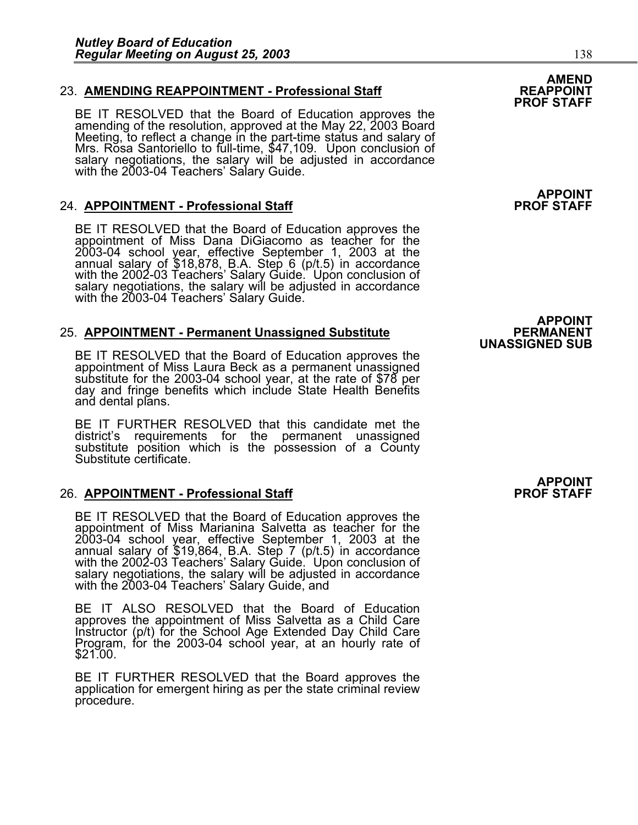### 23. **AMENDING REAPPOINTMENT - Professional Staff REAPPOINT PROF STAFF**

BE IT RESOLVED that the Board of Education approves the amending of the resolution, approved at the May 22, 2003 Board amending of the resolution, approved at the May 22, 2003 Board<br>Meeting, to reflect a change in the part-time status and salary of<br>Mrs. Rosa Santoriello to full-time, \$47,109. Upon conclusion of salary negotiations, the salary will be adjusted in accordance with the 2003-04 Teachers' Salary Guide.

### 24. APPOINTMENT - Professional Staff **PROF STAFF**

BE IT RESOLVED that the Board of Education approves the appointment of Miss Dana DiGiacomo as teacher for the 2003-04 school year, effective September 1, 2003 at the<br>annual salary of \$18,878, B.A. Step 6 (p/t.5) in accordance with the 2002-03 Teachers' Salary Guide. Upon conclusion of salary negotiations, the salary will be adjusted in accordance with the 2003-04 Teachers' Salary Guide.

# 25. **APPOINTMENT - Permanent Unassigned Substitute** PERMANENT<br>BE IT RESOLVED that the Board of Education approves the **UNASSIGNED SUB**

appointment of Miss Laura Beck as a permanent unassigned substitute for the 2003-04 school year, at the rate of \$78 per day and fringe benefits which include State Health Benefits and dental plans.

BE IT FURTHER RESOLVED that this candidate met the district's requirements for the permanent unassigned substitute position which is the possession of a County Substitute certificate.

### 26. **APPOINTMENT - Professional Staff**

BE IT RESOLVED that the Board of Education approves the<br>appointment of Miss Marianina Salvetta as teacher for the 2003-04 school year, effective September 1, 2003 at the annual salary of \$19,864, B.A. Step 7 (p/t.5) in accordance with the 2002-03 Teachers' Salary Guide. Upon conclusion of salary negotiations, the salary will be adjusted in accordance<br>with the 2003-04 Teachers' Salary Guide, and

BE IT ALSO RESOLVED that the Board of Education approves the appointment of Miss Salvetta as a Child Care Instructor (p/t) for the School Age Extended Day Child Care<br>Program, for the 2003-04 school year, at an hourly rate of<br>\$21.00.

BE IT FURTHER RESOLVED that the Board approves the application for emergent hiring as per the state criminal review procedure.

# **AMEND<br>REAPPOINT**

**APPOINT** 

**APPOINT** 

**APPOINT<br>PROF STAFF**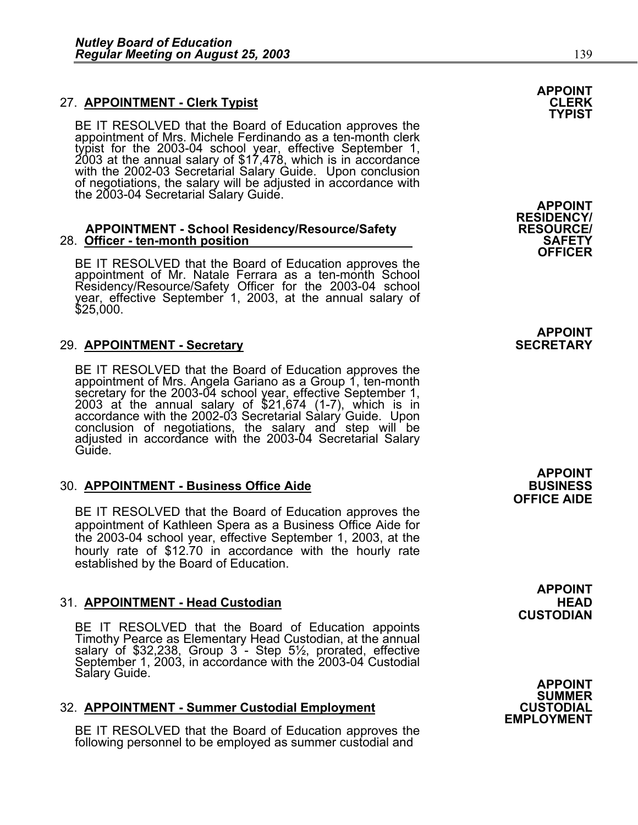### 27. **APPOINTMENT - Clerk Typist**

BE IT RESOLVED that the Board of Education approves the appointment of Mrs. Michele Ferdinando as a ten-month clerk typist for the 2003-04 school year, effective September 1, 2003 at the annual salary of \$17,478, which is in accordance with the 2002-03 Secretarial Salary Guide. Upon conclusion of negotiations, the salary will be adjusted in accordance with the 2003-04 Secretarial Salary Guide.<br>APPOINT **APPOINT**<br>/RESIDENCY

## **RESIDENCY/ APPOINTMENT - School Residency/Resource/Safety RESOURCE/** 28. **Officer - ten-month position SAFETY**

BE IT RESOLVED that the Board of Education approves the appointment of Mr. Natale Ferrara as a ten-month School Residency/Resource/Safety Officer for the 2003-04 school year, effective September 1, 2003, at the annual salary of<br>\$25,000.

### **29. APPOINTMENT - Secretary**

BE IT RESOLVED that the Board of Education approves the appointment of Mrs. Angela Gariano as a Group 1, ten-month secretary for the 2003-04 school year, effective September 1, 2003 at the annual salary of \$21,674 (1-7), w accordance with the 2003-04 Secretarial Salary Guide. Upon conclusion of negotiations, the salary and step will be adjusted in accordance with the 2003-04 Secretarial Salary Guide.

### 30. **APPOINTMENT - Business Office Aide** BUSINESS

BE IT RESOLVED that the Board of Education approves the appointment of Kathleen Spera as a Business Office Aide for the 2003-04 school year, effective September 1, 2003, at the hourly rate of \$12.70 in accordance with the hourly rate established by the Board of Education.

### **31. APPOINTMENT - Head Custodian Array Advisory Control Array Array Array Array Array Array Array Array Array Array Array Array Array Array Array Array Array Array Array Array Array Array Array Array Array Array Array Arr**

BE IT RESOLVED that the Board of Education appoints<br>Timothy Pearce as Elementary Head Custodian, at the annual salary of \$32,238, Group 3 - Step 5½, prorated, effective September 1, 2003, in accordance with the 2003-04 Custodial Salary Guide. Salary Guide. **APPOINT APPOINT** 

### **32. APPOINTMENT - Summer Custodial Employment**

BE IT RESOLVED that the Board of Education approves the following personnel to be employed as summer custodial and

**APPOINT** 

**TYPIST** 

**OFFICER** 

**APPOINT** 

**APPOINT OFFICE AIDE** 

**APPOINT CUSTODIAN** 

**SUMMER EMPLOYMENT**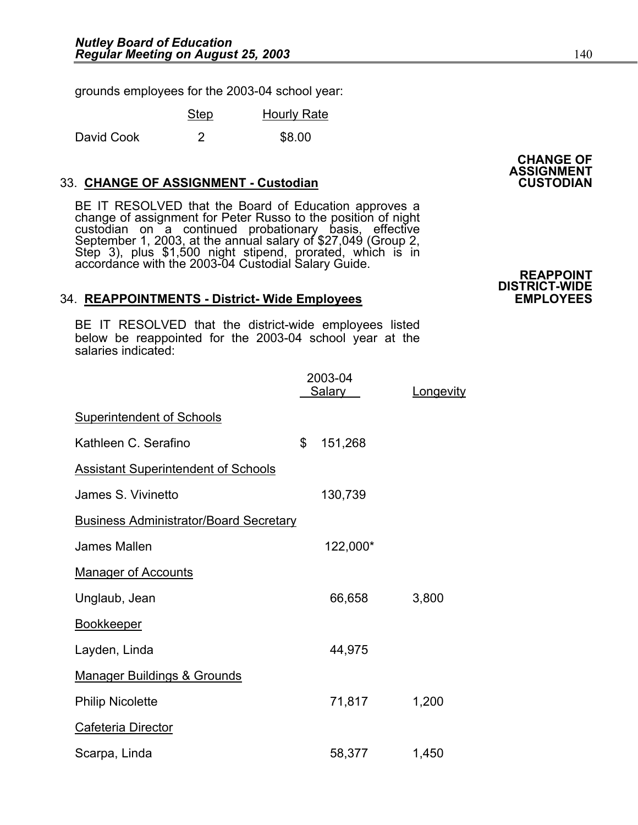grounds employees for the 2003-04 school year:

|            | <b>Step</b> | <b>Hourly Rate</b> |
|------------|-------------|--------------------|
| David Cook |             | \$8.00             |

### 33. **CHANGE OF ASSIGNMENT - Custodian**

BE IT RESOLVED that the Board of Education approves a change of assignment for Peter Russo to the position of night custodian on a continued probationary basis, effective<br>September 1, 2003, at the annual salary of \$27,049 (Group 2,<br>Step 3), plus \$1,500 night stipend, prorated, which is in<br>accordance with the 2003-04 Custodial Salary Gui

### 34. **REAPPOINTMENTS - District- Wide Employees**

BE IT RESOLVED that the district-wide employees listed below be reappointed for the 2003-04 school year at the salaries indicated:

|                                               | 2003-04<br><b>Salary</b> | Longevity |
|-----------------------------------------------|--------------------------|-----------|
| <b>Superintendent of Schools</b>              |                          |           |
| Kathleen C. Serafino                          | \$<br>151,268            |           |
| <b>Assistant Superintendent of Schools</b>    |                          |           |
| James S. Vivinetto                            | 130,739                  |           |
| <b>Business Administrator/Board Secretary</b> |                          |           |
| James Mallen                                  | 122,000*                 |           |
| <b>Manager of Accounts</b>                    |                          |           |
| Unglaub, Jean                                 | 66,658                   | 3,800     |
| <b>Bookkeeper</b>                             |                          |           |
| Layden, Linda                                 | 44,975                   |           |
| <b>Manager Buildings &amp; Grounds</b>        |                          |           |
| <b>Philip Nicolette</b>                       | 71,817                   | 1,200     |
| <b>Cafeteria Director</b>                     |                          |           |
| Scarpa, Linda                                 | 58,377                   | 1,450     |

**CHANGE OF ASSIGNMENT** 

**DISTRICT-WIDE**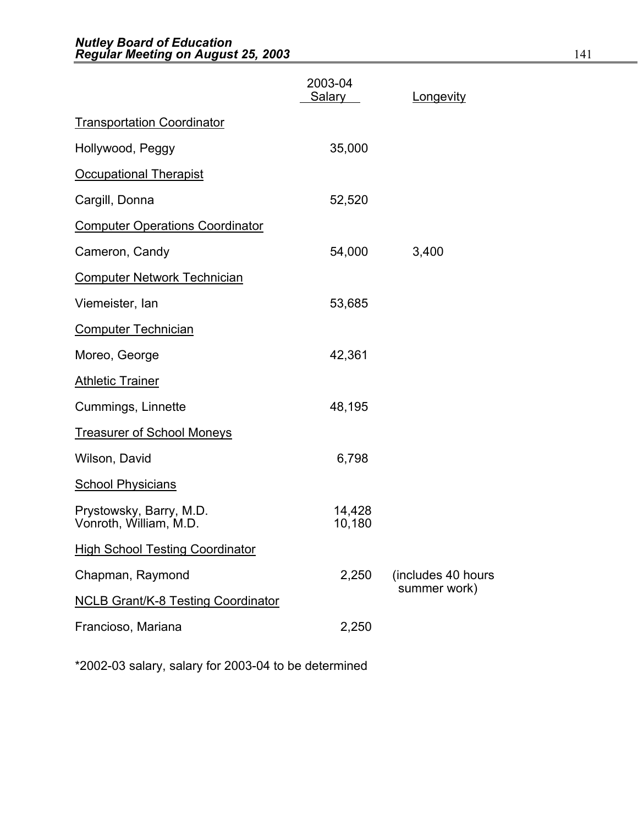|                                                   | 2003-04<br>Salary | Longevity           |
|---------------------------------------------------|-------------------|---------------------|
| <b>Transportation Coordinator</b>                 |                   |                     |
| Hollywood, Peggy                                  | 35,000            |                     |
| <b>Occupational Therapist</b>                     |                   |                     |
| Cargill, Donna                                    | 52,520            |                     |
| <b>Computer Operations Coordinator</b>            |                   |                     |
| Cameron, Candy                                    | 54,000            | 3,400               |
| <b>Computer Network Technician</b>                |                   |                     |
| Viemeister, lan                                   | 53,685            |                     |
| <b>Computer Technician</b>                        |                   |                     |
| Moreo, George                                     | 42,361            |                     |
| <b>Athletic Trainer</b>                           |                   |                     |
| Cummings, Linnette                                | 48,195            |                     |
| <b>Treasurer of School Moneys</b>                 |                   |                     |
| Wilson, David                                     | 6,798             |                     |
| <b>School Physicians</b>                          |                   |                     |
| Prystowsky, Barry, M.D.<br>Vonroth, William, M.D. | 14,428<br>10,180  |                     |
| <b>High School Testing Coordinator</b>            |                   |                     |
| Chapman, Raymond                                  | 2,250             | (includes 40 hours) |
| <b>NCLB Grant/K-8 Testing Coordinator</b>         |                   | summer work)        |
| Francioso, Mariana                                | 2,250             |                     |

\*2002-03 salary, salary for 2003-04 to be determined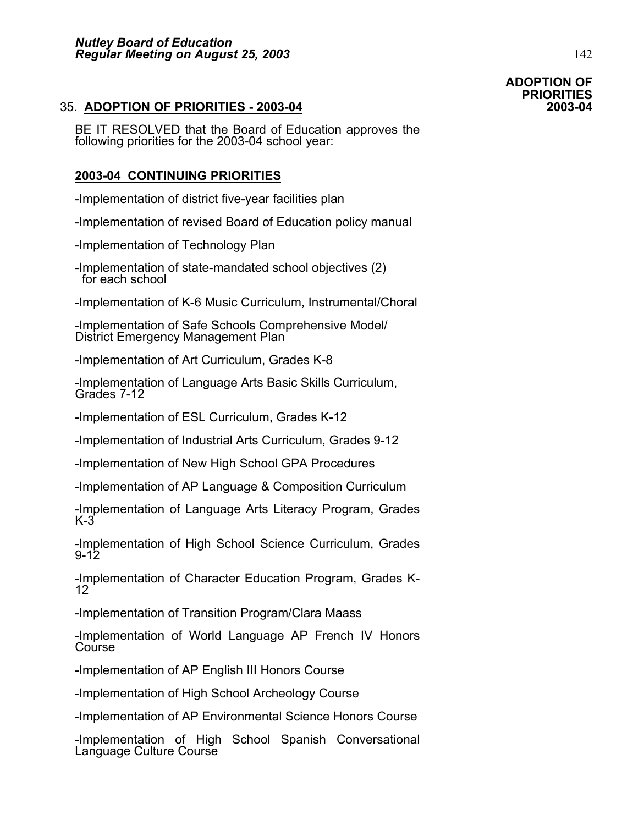### 35. **ADOPTION OF PRIORITIES - 2003-04 2003-04**

BE IT RESOLVED that the Board of Education approves the following priorities for the 2003-04 school year:

### **2003-04 CONTINUING PRIORITIES**

-Implementation of district five-year facilities plan

-Implementation of revised Board of Education policy manual

-Implementation of Technology Plan

-Implementation of state-mandated school objectives (2) for each school

-Implementation of K-6 Music Curriculum, Instrumental/Choral

-Implementation of Safe Schools Comprehensive Model/ District Emergency Management Plan

-Implementation of Art Curriculum, Grades K-8

-Implementation of Language Arts Basic Skills Curriculum, Grades 7-12

-Implementation of ESL Curriculum, Grades K-12

-Implementation of Industrial Arts Curriculum, Grades 9-12

-Implementation of New High School GPA Procedures

-Implementation of AP Language & Composition Curriculum

-Implementation of Language Arts Literacy Program, Grades<br>K-3

-Implementation of High School Science Curriculum, Grades 9-12

-Implementation of Character Education Program, Grades K- <sup>12</sup>

-Implementation of Transition Program/Clara Maass

-Implementation of World Language AP French IV Honors Course

-Implementation of AP English III Honors Course

-Implementation of High School Archeology Course

-Implementation of AP Environmental Science Honors Course

-Implementation of High School Spanish Conversational Language Culture Course

### **ADOPTION OF PRIORITIES**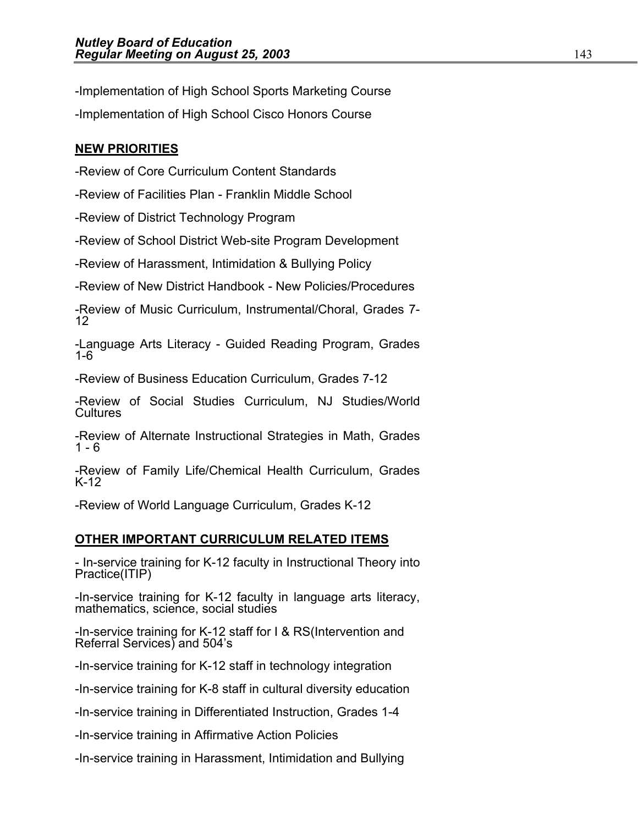-Implementation of High School Sports Marketing Course -Implementation of High School Cisco Honors Course

### **NEW PRIORITIES**

-Review of Core Curriculum Content Standards

-Review of Facilities Plan - Franklin Middle School

-Review of District Technology Program

-Review of School District Web-site Program Development

-Review of Harassment, Intimidation & Bullying Policy

-Review of New District Handbook - New Policies/Procedures

-Review of Music Curriculum, Instrumental/Choral, Grades 7- 12

-Language Arts Literacy - Guided Reading Program, Grades<br>1-6

-Review of Business Education Curriculum, Grades 7-12

-Review of Social Studies Curriculum, NJ Studies/World **Cultures** 

-Review of Alternate Instructional Strategies in Math, Grades<br>1 - 6

-Review of Family Life/Chemical Health Curriculum, Grades K-12

-Review of World Language Curriculum, Grades K-12

### **OTHER IMPORTANT CURRICULUM RELATED ITEMS**

- In-service training for K-12 faculty in Instructional Theory into Practice(ITIP)

-In-service training for K-12 faculty in language arts literacy, mathematics, science, social studies

-In-service training for K-12 staff for I & RS(Intervention and Referral Services) and 504's

-In-service training for K-12 staff in technology integration

-In-service training for K-8 staff in cultural diversity education

-In-service training in Differentiated Instruction, Grades 1-4

-In-service training in Affirmative Action Policies

-In-service training in Harassment, Intimidation and Bullying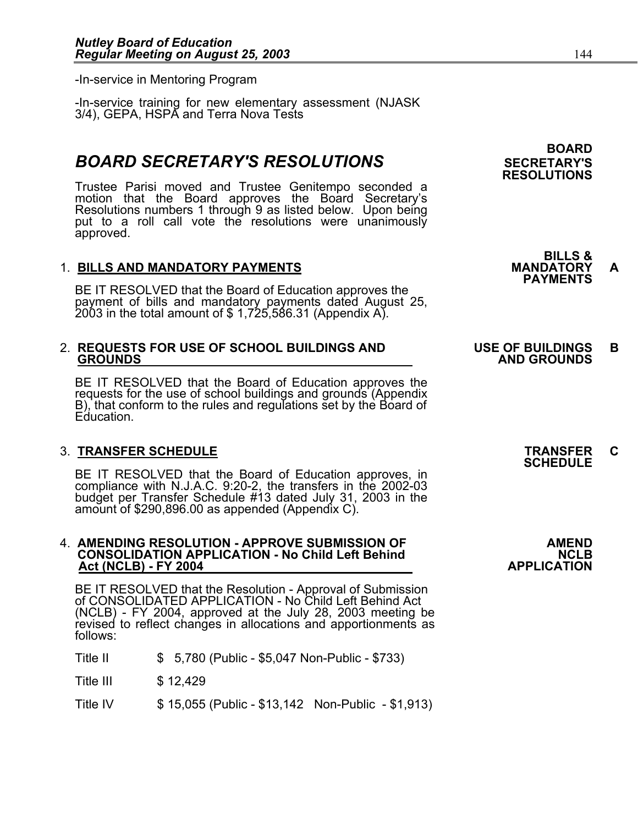-In-service in Mentoring Program

-In-service training for new elementary assessment (NJASK 3/4), GEPA, HSPA and Terra Nova Tests

### **BOARD SECRETARY'S RESOLUTIONS** SECRETARY'S

Trustee Parisi moved and Trustee Genitempo seconded a motion that the Board approves the Board Secretary's Resolutions numbers 1 through 9 as listed below. Upon being put to a roll call vote the resolutions were unanimously approved.

1. BILLS AND MANDATORY PAYMENTS<br>BE IT RESOLVED that the Board of Education approves the **PAYMENTS** payment of bills and mandatory payments dated August 25, 2003 in the total amount of \$ 1,725,586.31 (Appendix A).

## 2. **REQUESTS FOR USE OF SCHOOL BUILDINGS AND USE OF BUILDINGS B GROUNDS AND GROUNDS**

BE IT RESOLVED that the Board of Education approves the requests for the use of school buildings and grounds (Appendix B), that conform to the rules and regulations set by the Board of Education.

3. **TRANSFER SCHEDULE**<br>BE IT RESOLVED that the Board of Education approves, in **SCHEDULE** compliance with N.J.A.C. 9:20-2, the transfers in the 2002-03 budget per Transfer Schedule #13 dated July 31, 2003 in the amount of \$290,896.00 as appended (Appendix C).

#### 4. **AMENDING RESOLUTION - APPROVE SUBMISSION OF AMEND**  CONSOLIDATION APPLICATION - No Child Left Behind<br>APPLICATION Act (NCLB) - FY 2004 **Act (NCLB) - FY 2004**

BE IT RESOLVED that the Resolution - Approval of Submission of CONSOLIDATED APPLICATION - No Child Left Behind Act (NCLB) - FY 2004, approved at the July 28, 2003 meeting be revised to reflect changes in allocations and apportionments as follows:

| Title II   | \$ 5,780 (Public - \$5,047 Non-Public - \$733) |
|------------|------------------------------------------------|
| $T^*H = H$ | <b>CAO 100</b>                                 |

Title III \$ 12,429

Title IV \$ 15,055 (Public - \$13,142 Non-Public - \$1,913)

### **BOARD RESOLUTIONS**

# **BILLS &**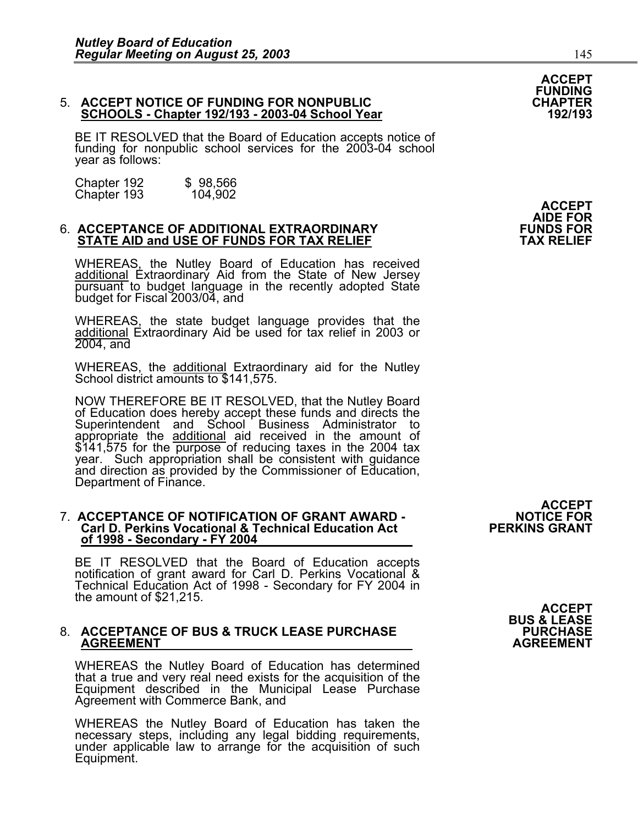## **FUNDING** 5. **ACCEPT NOTICE OF FUNDING FOR NONPUBLIC CHAPTER SCHOOLS - Chapter 192/193 - 2003-04 School Year 192/193**

BE IT RESOLVED that the Board of Education accepts notice of funding for nonpublic school services for the 2003-04 school year as follows:

Chapter 192 \$ 98,566<br>Chapter 193 104,902 Chapter 193 104,902 **ACCEPT ACCEPT** 

## 6. **ACCEPTANCE OF ADDITIONAL EXTRAORDINARY FUNDS FOR STATE AID and USE OF FUNDS FOR TAX RELIEF TAX RELIEF**

WHEREAS, the Nutley Board of Education has received <u>additional</u> Extraordinary Aid from the State of New Jersey<br>pursuant to budget language in the recently adopted State<br>budget for Fiscal 2003/04, and

WHEREAS, the state budget language provides that the additional Extraordinary Aid be used for tax relief in 2003 or 2004, and

WHEREAS, the additional Extraordinary aid for the Nutley School district amounts to \$141,575.

NOW THEREFORE BE IT RESOLVED, that the Nutley Board of Education does hereby accept these funds and directs the Superintendent and School Business Administrator to appropriate the additional aid received in the amount of \$141,575 for the purpose of reducing taxes in the 2004 tax<br>year. Such appropriation shall be consistent with guidance year. Such appropriation shall be consistent with guidance and direction as provided by the Commissioner of Education, Department of Finance.

# 7. **ACCEPTANCE OF NOTIFICATION OF GRANT AWARD - NOTICE FOR Carl D. Perkins Vocational & Technical Education Act PERKINS GRANT of 1998 - Secondary - FY 2004**

BE IT RESOLVED that the Board of Education accepts notification of grant award for Carl D. Perkins Vocational & Technical Education Act of 1998 - Secondary for FY 2004 in the amount of \$21,215.

## 8. ACCEPTANCE OF BUS & TRUCK LEASE PURCHASE **PURCHASE REASE PURCHASE**<br>AGREEMENT

WHEREAS the Nutley Board of Education has determined that a true and very real need exists for the acquisition of the Equipment described in the Municipal Lease Purchase Agreement with Commerce Bank, and

WHEREAS the Nutley Board of Education has taken the necessary steps, including any legal bidding requirements, under applicable law to arrange for the acquisition of such Equipment.

**ACCEPT BUS & LEASE** 

**AIDE FOR** 

# **ACCEPT<br>NOTICE FOR**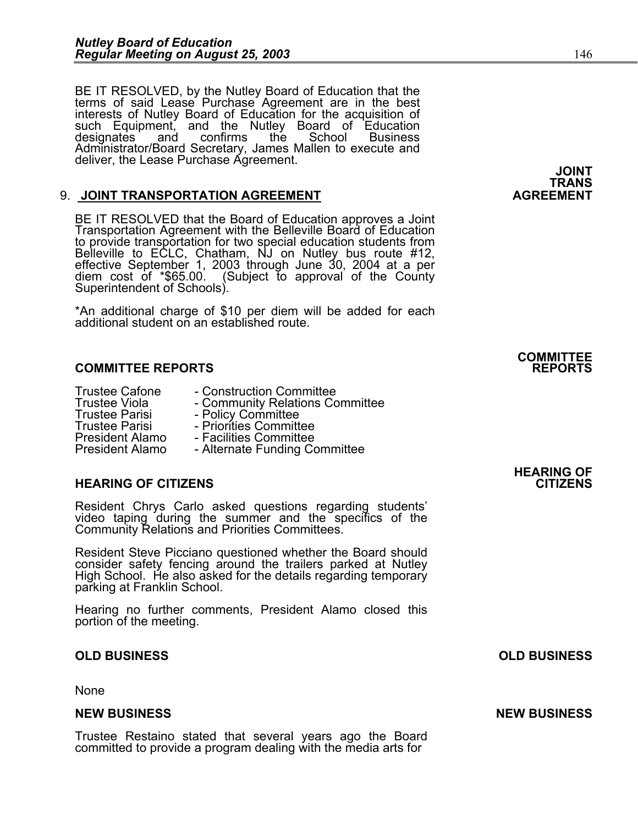BE IT RESOLVED, by the Nutley Board of Education that the terms of said Lease Purchase Agreement are in the best interests of Nutley Board of Education for the acquisition of such Equipment, and the Nutley Board of Education designates and confirms the School Business Administrator/Board Secretary, James Mallen to execute and deliver, the Lease Purchase Agreement. **JOINT** 

### 9. **JOINT TRANSPORTATION AGREEMENT AGREEMENT**

BE IT RESOLVED that the Board of Education approves a Joint Transportation Agreement with the Belleville Board of Education to provide transportation for two special education students from Belleville to ECLC, Chatham, NJ on Nutley bus route #12,<br>effective September 1, 2003 through June 30, 2004 at a per diem cost of \*\$65.00. (Subject to approval of the County Superintendent of Schools).

\*An additional charge of \$10 per diem will be added for each additional student on an established route.

### **COMMITTEE REPORTS REPORTS**

- Trustee Cafone Construction Committee
- Trustee Viola <sup>-</sup> Community Relations Committee<br>Trustee Parisi Policy Committee
- Trustee Parisi Policy Committee<br>Trustee Parisi Priorities Committ President Alamo - Facilities Committee<br>President Alamo - Alternate Funding Co
	-
	- Priorities Committee
	-
	- Alternate Funding Committee

### **HEARING OF CITIZENS CITIZENS**

Resident Chrys Carlo asked questions regarding students' video taping during the summer and the specifics of the Community Relations and Priorities Committees.

Resident Steve Picciano questioned whether the Board should consider safety fencing around the trailers parked at Nutley High School. He also asked for the details regarding temporary parking at Franklin School.

Hearing no further comments, President Alamo closed this portion of the meeting.

### **OLD BUSINESS OLD BUSINESS**

None

### **NEW BUSINESS NEW BUSINESS**

Trustee Restaino stated that several years ago the Board committed to provide a program dealing with the media arts for



## **HEARING OF**